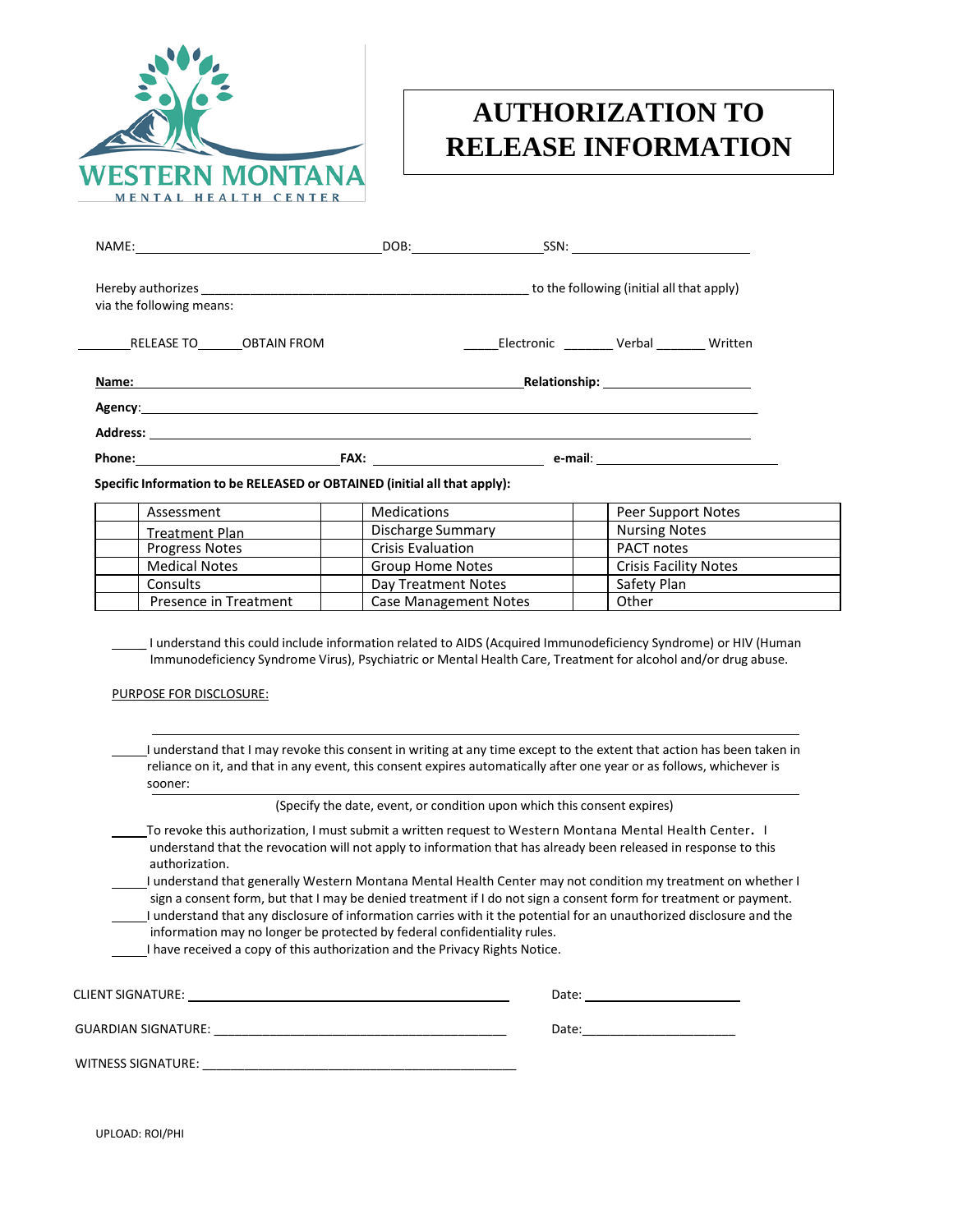

## **AUTHORIZATION TO RELEASE INFORMATION**

|                                                                                                                                                                                                                                      | DOB: SSN:                                                                                                                                                                                                                      |                           |  |
|--------------------------------------------------------------------------------------------------------------------------------------------------------------------------------------------------------------------------------------|--------------------------------------------------------------------------------------------------------------------------------------------------------------------------------------------------------------------------------|---------------------------|--|
| via the following means:                                                                                                                                                                                                             |                                                                                                                                                                                                                                |                           |  |
| RELEASE TO OBTAIN FROM                                                                                                                                                                                                               |                                                                                                                                                                                                                                | Electronic Verbal Written |  |
|                                                                                                                                                                                                                                      | Name: Name and the contract of the contract of the contract of the contract of the contract of the contract of the contract of the contract of the contract of the contract of the contract of the contract of the contract of |                           |  |
|                                                                                                                                                                                                                                      |                                                                                                                                                                                                                                |                           |  |
| Address: <u>Address: Address: Address: Address: Address: Address: Address: Address: Address: Address: Address: Address: Address: Address: Address: Address: Address: Address: Address: Address: Address: Address: Address: Addre</u> |                                                                                                                                                                                                                                |                           |  |
|                                                                                                                                                                                                                                      |                                                                                                                                                                                                                                |                           |  |

| Assessment            | Medications                  | Peer Support Notes           |
|-----------------------|------------------------------|------------------------------|
| <b>Treatment Plan</b> | Discharge Summary            | <b>Nursing Notes</b>         |
| <b>Progress Notes</b> | <b>Crisis Evaluation</b>     | <b>PACT notes</b>            |
| <b>Medical Notes</b>  | <b>Group Home Notes</b>      | <b>Crisis Facility Notes</b> |
| <b>Consults</b>       | Day Treatment Notes          | Safety Plan                  |
| Presence in Treatment | <b>Case Management Notes</b> | Other                        |

\_ I understand this could include information related to AIDS (Acquired Immunodeficiency Syndrome) or HIV (Human Immunodeficiency Syndrome Virus), Psychiatric or Mental Health Care, Treatment for alcohol and/or drug abuse.

PURPOSE FOR DISCLOSURE:

I understand that I may revoke this consent in writing at any time except to the extent that action has been taken in reliance on it, and that in any event, this consent expires automatically after one year or as follows, whichever is sooner:

(Specify the date, event, or condition upon which this consent expires)

- To revoke this authorization, I must submit a written request to Western Montana Mental Health Center**.** I understand that the revocation will not apply to information that has already been released in response to this authorization.
- I understand that generally Western Montana Mental Health Center may not condition my treatment on whether I sign a consent form, but that I may be denied treatment if I do not sign a consent form for treatment or payment.
- I understand that any disclosure of information carries with it the potential for an unauthorized disclosure and the information may no longer be protected by federal confidentiality rules.

I have received a copy of this authorization and the Privacy Rights Notice.

| CLIENT SIGNATURE:          | Date: |
|----------------------------|-------|
| <b>GUARDIAN SIGNATURE:</b> | Date: |
| <b>WITNESS SIGNATURE:</b>  |       |

UPLOAD: ROI/PHI